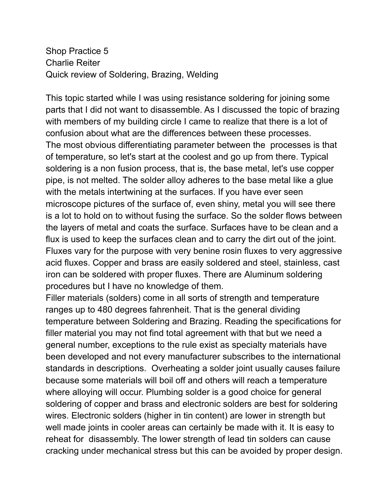Shop Practice 5 Charlie Reiter Quick review of Soldering, Brazing, Welding

This topic started while I was using resistance soldering for joining some parts that I did not want to disassemble. As I discussed the topic of brazing with members of my building circle I came to realize that there is a lot of confusion about what are the differences between these processes. The most obvious differentiating parameter between the processes is that of temperature, so let's start at the coolest and go up from there. Typical soldering is a non fusion process, that is, the base metal, let's use copper pipe, is not melted. The solder alloy adheres to the base metal like a glue with the metals intertwining at the surfaces. If you have ever seen microscope pictures of the surface of, even shiny, metal you will see there is a lot to hold on to without fusing the surface. So the solder flows between the layers of metal and coats the surface. Surfaces have to be clean and a flux is used to keep the surfaces clean and to carry the dirt out of the joint. Fluxes vary for the purpose with very benine rosin fluxes to very aggressive acid fluxes. Copper and brass are easily soldered and steel, stainless, cast iron can be soldered with proper fluxes. There are Aluminum soldering procedures but I have no knowledge of them.

Filler materials (solders) come in all sorts of strength and temperature ranges up to 480 degrees fahrenheit. That is the general dividing temperature between Soldering and Brazing. Reading the specifications for filler material you may not find total agreement with that but we need a general number, exceptions to the rule exist as specialty materials have been developed and not every manufacturer subscribes to the international standards in descriptions. Overheating a solder joint usually causes failure because some materials will boil off and others will reach a temperature where alloying will occur. Plumbing solder is a good choice for general soldering of copper and brass and electronic solders are best for soldering wires. Electronic solders (higher in tin content) are lower in strength but well made joints in cooler areas can certainly be made with it. It is easy to reheat for disassembly. The lower strength of lead tin solders can cause cracking under mechanical stress but this can be avoided by proper design.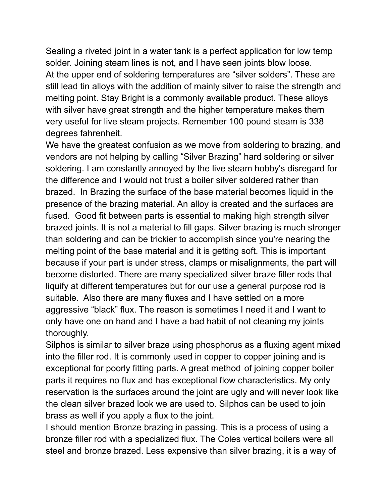Sealing a riveted joint in a water tank is a perfect application for low temp solder. Joining steam lines is not, and I have seen joints blow loose. At the upper end of soldering temperatures are "silver solders". These are still lead tin alloys with the addition of mainly silver to raise the strength and melting point. Stay Bright is a commonly available product. These alloys with silver have great strength and the higher temperature makes them very useful for live steam projects. Remember 100 pound steam is 338 degrees fahrenheit.

We have the greatest confusion as we move from soldering to brazing, and vendors are not helping by calling "Silver Brazing" hard soldering or silver soldering. I am constantly annoyed by the live steam hobby's disregard for the difference and I would not trust a boiler silver soldered rather than brazed. In Brazing the surface of the base material becomes liquid in the presence of the brazing material. An alloy is created and the surfaces are fused. Good fit between parts is essential to making high strength silver brazed joints. It is not a material to fill gaps. Silver brazing is much stronger than soldering and can be trickier to accomplish since you're nearing the melting point of the base material and it is getting soft. This is important because if your part is under stress, clamps or misalignments, the part will become distorted. There are many specialized silver braze filler rods that liquify at different temperatures but for our use a general purpose rod is suitable. Also there are many fluxes and I have settled on a more aggressive "black" flux. The reason is sometimes I need it and I want to only have one on hand and I have a bad habit of not cleaning my joints thoroughly.

Silphos is similar to silver braze using phosphorus as a fluxing agent mixed into the filler rod. It is commonly used in copper to copper joining and is exceptional for poorly fitting parts. A great method of joining copper boiler parts it requires no flux and has exceptional flow characteristics. My only reservation is the surfaces around the joint are ugly and will never look like the clean silver brazed look we are used to. Silphos can be used to join brass as well if you apply a flux to the joint.

I should mention Bronze brazing in passing. This is a process of using a bronze filler rod with a specialized flux. The Coles vertical boilers were all steel and bronze brazed. Less expensive than silver brazing, it is a way of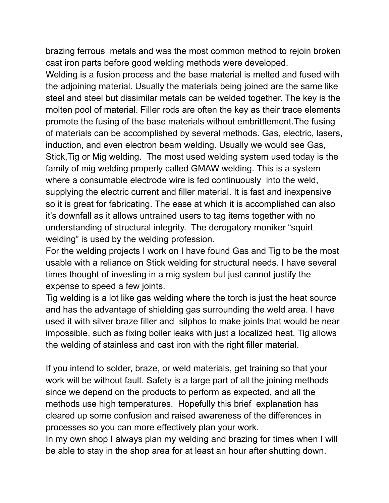brazing ferrous metals and was the most common method to rejoin broken cast iron parts before good welding methods were developed.

Welding is a fusion process and the base material is melted and fused with the adjoining material. Usually the materials being joined are the same like steel and steel but dissimilar metals can be welded together. The key is the molten pool of material. Filler rods are often the key as their trace elements promote the fusing of the base materials without embrittlement.The fusing of materials can be accomplished by several methods. Gas, electric, lasers, induction, and even electron beam welding. Usually we would see Gas, Stick,Tig or Mig welding. The most used welding system used today is the family of mig welding properly called GMAW welding. This is a system where a consumable electrode wire is fed continuously into the weld, supplying the electric current and filler material. It is fast and inexpensive so it is great for fabricating. The ease at which it is accomplished can also it's downfall as it allows untrained users to tag items together with no understanding of structural integrity. The derogatory moniker "squirt welding" is used by the welding profession.

For the welding projects I work on I have found Gas and Tig to be the most usable with a reliance on Stick welding for structural needs. I have several times thought of investing in a mig system but just cannot justify the expense to speed a few joints.

Tig welding is a lot like gas welding where the torch is just the heat source and has the advantage of shielding gas surrounding the weld area. I have used it with silver braze filler and silphos to make joints that would be near impossible, such as fixing boiler leaks with just a localized heat. Tig allows the welding of stainless and cast iron with the right filler material.

If you intend to solder, braze, or weld materials, get training so that your work will be without fault. Safety is a large part of all the joining methods since we depend on the products to perform as expected, and all the methods use high temperatures. Hopefully this brief explanation has cleared up some confusion and raised awareness of the differences in processes so you can more effectively plan your work.

In my own shop I always plan my welding and brazing for times when I will be able to stay in the shop area for at least an hour after shutting down.